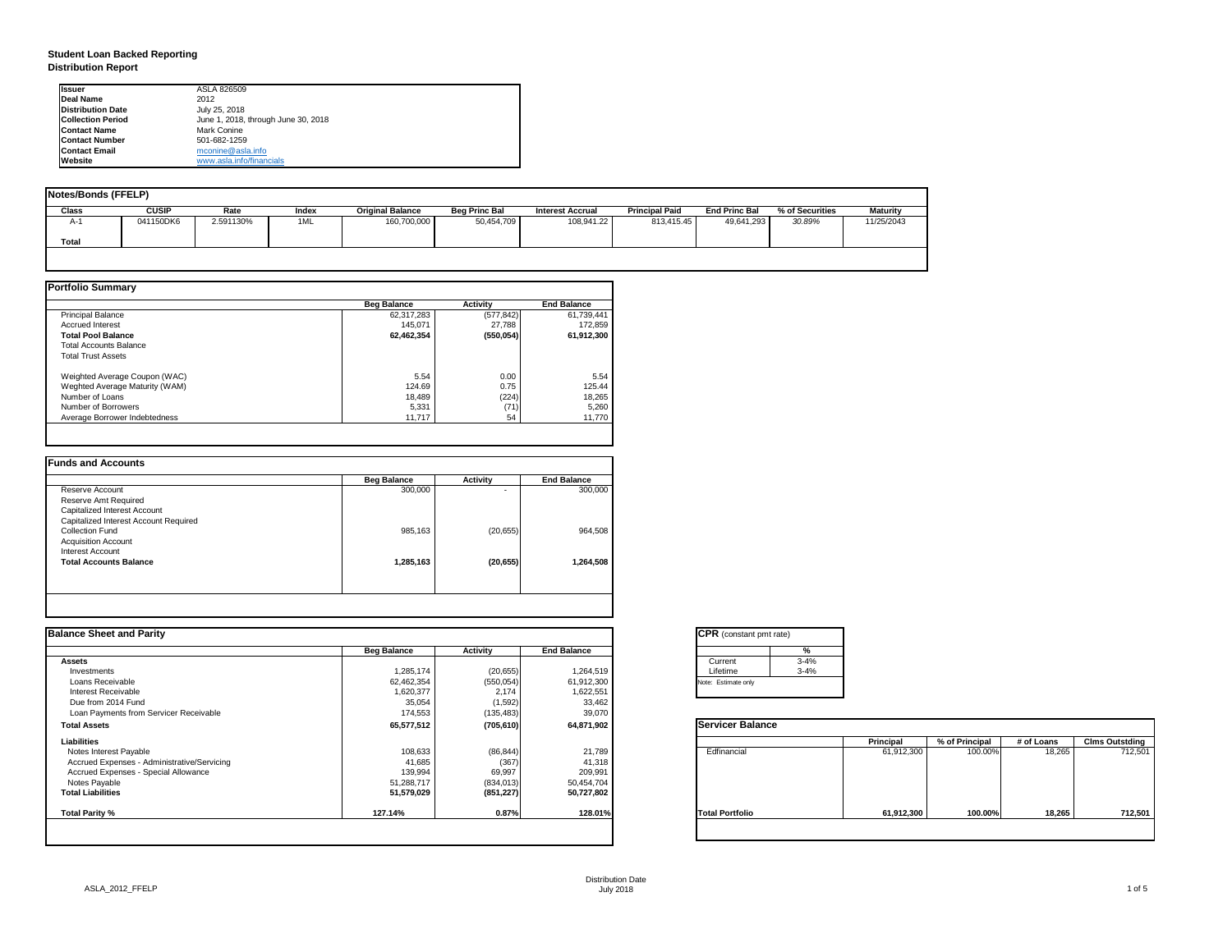## **Student Loan Backed Reporting Distribution Report**

| Notes/Bonds (FFELP) |              |           |       |                         |                      |                         |                       |                      |                 |                 |
|---------------------|--------------|-----------|-------|-------------------------|----------------------|-------------------------|-----------------------|----------------------|-----------------|-----------------|
| <b>Class</b>        | <b>CUSIP</b> | Rate      | Index | <b>Original Balance</b> | <b>Beg Princ Bal</b> | <b>Interest Accrual</b> | <b>Principal Paid</b> | <b>End Princ Bal</b> | % of Securities | <b>Maturity</b> |
| A-1                 | 041150DK6    | 2.591130% | 1ML   | 160,700,000             | 50,454,709           | 108,941.22              | 813,415.45            | 49,641,293           | 30.89%          | 11/25/2043      |
| Total               |              |           |       |                         |                      |                         |                       |                      |                 |                 |
|                     |              |           |       |                         |                      |                         |                       |                      |                 |                 |

|                                | <b>Beg Balance</b> | <b>Activity</b> | <b>End Balance</b> |
|--------------------------------|--------------------|-----------------|--------------------|
| <b>Principal Balance</b>       | 62,317,283         | (577, 842)      | 61,739,441         |
| <b>Accrued Interest</b>        | 145,071            | 27,788          | 172,859            |
| <b>Total Pool Balance</b>      | 62,462,354         | (550, 054)      | 61,912,300         |
| <b>Total Accounts Balance</b>  |                    |                 |                    |
| <b>Total Trust Assets</b>      |                    |                 |                    |
| Weighted Average Coupon (WAC)  | 5.54               | 0.00            | 5.54               |
| Weghted Average Maturity (WAM) | 124.69             | 0.75            | 125.44             |
| Number of Loans                | 18,489             | (224)           | 18,265             |
| Number of Borrowers            | 5,331              | (71)            | 5,260              |
| Average Borrower Indebtedness  | 11,717             | 54              | 11,770             |

|                                       | <b>Beg Balance</b> | <b>Activity</b> | <b>End Balance</b> |
|---------------------------------------|--------------------|-----------------|--------------------|
| Reserve Account                       | 300,000            | $\blacksquare$  | 300,000            |
| <b>Reserve Amt Required</b>           |                    |                 |                    |
| <b>Capitalized Interest Account</b>   |                    |                 |                    |
| Capitalized Interest Account Required |                    |                 |                    |
| <b>Collection Fund</b>                | 985,163            | (20, 655)       | 964,508            |
| <b>Acquisition Account</b>            |                    |                 |                    |
| <b>Interest Account</b>               |                    |                 |                    |
| <b>Total Accounts Balance</b>         | 1,285,163          | (20, 655)       | 1,264,508          |
|                                       |                    |                 |                    |

| Ilssuer                  | ASLA 826509                         |
|--------------------------|-------------------------------------|
| Deal Name                | 2012                                |
| <b>Distribution Date</b> | July 25, 2018                       |
| <b>Collection Period</b> | June 1, 2018, through June 30, 2018 |
| <b>Contact Name</b>      | <b>Mark Conine</b>                  |
| <b>IContact Number</b>   | 501-682-1259                        |
| <b>Contact Email</b>     | mconine@asla.info                   |
| <b>IWebsite</b>          | www.asla.info/financials            |

| <b>Balance Sheet and Parity</b>             |                    |                 |                    | <b>CPR</b> (constant pmt rate) |                  |                |            |                       |
|---------------------------------------------|--------------------|-----------------|--------------------|--------------------------------|------------------|----------------|------------|-----------------------|
|                                             | <b>Beg Balance</b> | <b>Activity</b> | <b>End Balance</b> | %                              |                  |                |            |                       |
| <b>Assets</b>                               |                    |                 |                    | $3 - 4%$<br>Current            |                  |                |            |                       |
| Investments                                 | 1,285,174          | (20, 655)       | 1,264,519          | $3 - 4%$<br>Lifetime           |                  |                |            |                       |
| Loans Receivable                            | 62,462,354         | (550, 054)      | 61,912,300         | Note: Estimate only            |                  |                |            |                       |
| <b>Interest Receivable</b>                  | 1,620,377          | 2,174           | 1,622,551          |                                |                  |                |            |                       |
| Due from 2014 Fund                          | 35,054             | (1,592)         | 33,462             |                                |                  |                |            |                       |
| Loan Payments from Servicer Receivable      | 174,553            | (135, 483)      | 39,070             |                                |                  |                |            |                       |
| <b>Total Assets</b>                         | 65,577,512         | (705, 610)      | 64,871,902         | <b>Servicer Balance</b>        |                  |                |            |                       |
| <b>Liabilities</b>                          |                    |                 |                    |                                | <b>Principal</b> | % of Principal | # of Loans | <b>Clms Outstding</b> |
| Notes Interest Payable                      | 108,633            | (86, 844)       | 21,789             | Edfinancial                    | 61,912,300       | 100.00%        | 18,265     | 712,501               |
| Accrued Expenses - Administrative/Servicing | 41,685             | (367)           | 41,318             |                                |                  |                |            |                       |
| <b>Accrued Expenses - Special Allowance</b> | 139,994            | 69,997          | 209,991            |                                |                  |                |            |                       |
| Notes Payable                               | 51,288,717         | (834, 013)      | 50,454,704         |                                |                  |                |            |                       |
| <b>Total Liabilities</b>                    | 51,579,029         | (851, 227)      | 50,727,802         |                                |                  |                |            |                       |
| <b>Total Parity %</b>                       | 127.14%            | 0.87%           | 128.01%            | <b>Total Portfolio</b>         | 61,912,300       | 100.00%        | 18,265     | 712,501               |
|                                             |                    |                 |                    |                                |                  |                |            |                       |

| tant pmt rate) |          |
|----------------|----------|
|                | %        |
|                | $3 - 4%$ |
|                | $3 - 4%$ |
| only           |          |

|      | <b>Principal</b> | % of Principal | # of Loans | <b>Clms Outstding</b> |  |  |
|------|------------------|----------------|------------|-----------------------|--|--|
| al   | 61,912,300       | 100.00%        | 18,265     | 712,501               |  |  |
| olic | 61,912,300       | 100.00%        | 18,265     | 712,501               |  |  |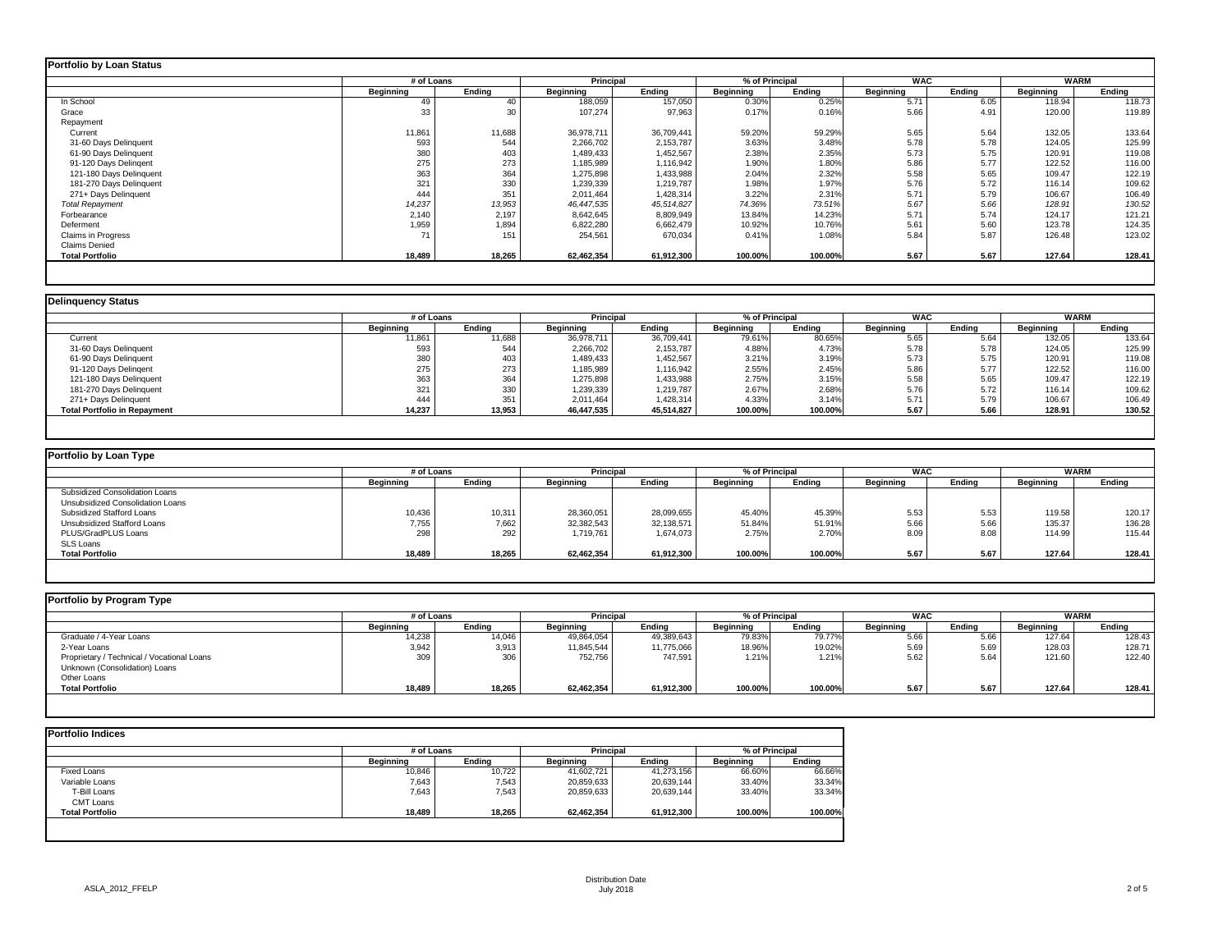|                           | # of Loans       |               | <b>Principal</b> |               |                  | % of Principal | <b>WAC</b>       |        | <b>WARM</b>      |               |
|---------------------------|------------------|---------------|------------------|---------------|------------------|----------------|------------------|--------|------------------|---------------|
|                           | <b>Beginning</b> | <b>Ending</b> | <b>Beginning</b> | <b>Ending</b> | <b>Beginning</b> | <b>Ending</b>  | <b>Beginning</b> | Ending | <b>Beginning</b> | <b>Ending</b> |
| In School                 | 49               | 40            | 188,059          | 157,050       | 0.30%            | 0.25%          | 5.71             | 6.05   | 118.94           | 118.73        |
| Grace                     | 33               | 30            | 107,274          | 97,963        | 0.17%            | 0.16%          | 5.66             | 4.91   | 120.00           | 119.89        |
| Repayment                 |                  |               |                  |               |                  |                |                  |        |                  |               |
| Current                   | 11,861           | 11,688        | 36,978,711       | 36,709,441    | 59.20%           | 59.29%         | 5.65             | 5.64   | 132.05           | 133.64        |
| 31-60 Days Delinquent     | 593              | 544           | 2,266,702        | 2,153,787     | 3.63%            | 3.48%          | 5.78             | 5.78   | 124.05           | 125.99        |
| 61-90 Days Delinquent     | 380              | 403           | 1,489,433        | 1,452,567     | 2.38%            | 2.35%          | 5.73             | 5.75   | 120.91           | 119.08        |
| 91-120 Days Delingent     | 275              | 273           | 1,185,989        | 1,116,942     | 1.90%            | 1.80%          | 5.86             | 5.77   | 122.52           | 116.00        |
| 121-180 Days Delinquent   | 363              | 364           | 1,275,898        | 1,433,988     | 2.04%            | 2.32%          | 5.58             | 5.65   | 109.47           | 122.19        |
| 181-270 Days Delinquent   | 321              | 330           | 1,239,339        | 1,219,787     | 1.98%            | 1.97%          | 5.76             | 5.72   | 116.14           | 109.62        |
| 271+ Days Delinquent      | 444              | 351           | 2,011,464        | 1,428,314     | 3.22%            | 2.31%          | 5.71             | 5.79   | 106.67           | 106.49        |
| <b>Total Repayment</b>    | 14,237           | 13,953        | 46,447,535       | 45,514,827    | 74.36%           | 73.51%         | 5.67             | 5.66   | 128.91           | 130.52        |
| Forbearance               | 2,140            | 2,197         | 8,642,645        | 8,809,949     | 13.84%           | 14.23%         | 5.71             | 5.74   | 124.17           | 121.21        |
| Deferment                 | 1,959            | 1,894         | 6,822,280        | 6,662,479     | 10.92%           | 10.76%         | 5.61             | 5.60   | 123.78           | 124.35        |
| <b>Claims in Progress</b> | 71               | 151           | 254,561          | 670,034       | 0.41%            | 1.08%          | 5.84             | 5.87   | 126.48           | 123.02        |
| <b>Claims Denied</b>      |                  |               |                  |               |                  |                |                  |        |                  |               |
| <b>Total Portfolio</b>    | 18,489           | 18,265        | 62,462,354       | 61,912,300    | 100.00%          | 100.00%        | 5.67             | 5.67   | 127.64           | 128.41        |

# **Portfolio by Loan Type** Subsidized Consolidation Loans Unsubsidized Consolidation Loans Subsidized Stafford Loans 10,436 10,311 28,360,051 28,099,655 45.40% 45.39% 5.53 5.53 119.58 120.17 Unsubsidized Stafford Loans 7,755 | 32,382,543 | 51.84%| 51.84%| 5.66 | 5.66 | 135.37 | 136.28 PLUS/GradPLUS Loans 298 292 1,719,761 1,674,073 2.75% 2.70% 8.09 8.08 114.99 115.44 SLS Loans<br>Total Portfolio **Total Portfolio 18,489 18,265 62,462,354 61,912,300 100.00% 100.00% 5.67 5.67 127.64 128.41**

| <b>Delinquency Status</b>           |                  |        |                  |               |                  |                |                  |               |                  |               |
|-------------------------------------|------------------|--------|------------------|---------------|------------------|----------------|------------------|---------------|------------------|---------------|
|                                     | # of Loans       |        | <b>Principal</b> |               |                  | % of Principal | <b>WAC</b>       |               | <b>WARM</b>      |               |
|                                     | <b>Beginning</b> | Ending | <b>Beginning</b> | <b>Ending</b> | <b>Beginning</b> | <b>Ending</b>  | <b>Beginning</b> | <b>Ending</b> | <b>Beginning</b> | <b>Ending</b> |
| Current                             | 11,861           | 11,688 | 36,978,711       | 36,709,441    | 79.61%           | 80.65%         | 5.65             | 5.64          | 132.05           | 133.64        |
| 31-60 Days Delinquent               | 593              | 544    | 2,266,702        | 2,153,787     | 4.88%            | 4.73%          | 5.78             | 5.78          | 124.05           | 125.99        |
| 61-90 Days Delinquent               | 380              | 403    | 489,433          | 1,452,567     | 3.21%            | 3.19%          | 5.73             | 5.75          | 120.91           | 119.08        |
| 91-120 Days Delingent               | 275              | 273    | 1,185,989        | 1,116,942     | 2.55%            | 2.45%          | 5.86             | 5.77          | 122.52           | 116.00        |
| 121-180 Days Delinquent             | 363              | 364    | 1,275,898        | 1,433,988     | 2.75%            | 3.15%          | 5.58             | 5.65          | 109.47           | 122.19        |
| 181-270 Days Delinquent             | 321              | 330    | 1,239,339        | 1,219,787     | 2.67%            | 2.68%          | 5.76             | 5.72          | 116.14           | 109.62        |
| 271+ Days Delinquent                | 444              | 351    | 2,011,464        | 1,428,314     | 4.33%            | 3.14%          | 5.71             | 5.79          | 106.67           | 106.49        |
| <b>Total Portfolio in Repayment</b> | 14,237           | 13,953 | 46,447,535       | 45,514,827    | 100.00%          | 100.00%        | 5.67             | 5.66          | 128.91           | 130.52        |

### **Portfolio by Program Type**

|                  | <b>Principal</b><br># of Loans |                  |               | % of Principal   |               | <b>WAC</b>       |               | <b>WARM</b>      |               |  |
|------------------|--------------------------------|------------------|---------------|------------------|---------------|------------------|---------------|------------------|---------------|--|
| <b>Beginning</b> | <b>Ending</b>                  | <b>Beginning</b> | <b>Ending</b> | <b>Beginning</b> | <b>Ending</b> | <b>Beginning</b> | <b>Ending</b> | <b>Beginning</b> | <b>Ending</b> |  |
|                  |                                |                  |               |                  |               |                  |               |                  |               |  |
| 10,436           | 10,311                         | 28,360,051       | 28,099,655    | 45.40%           | 45.39%        | 5.53             | 5.53          | 119.58           | 120.17        |  |
| 7,755            | 7,662                          | 32,382,543       | 32,138,571    | 51.84%           | 51.91%        | 5.66             | 5.66          | 135.37           | 136.28        |  |
| 298              | 292                            | 1,719,761        | 1,674,073     | 2.75%            | 2.70%         | 8.09             | 8.08          | 114.99           | 115.44        |  |
| 18,489           | 18,265                         | 62,462,354       | 61,912,300    | 100.00%          | 100.00%       | 5.67             | 5.67          | 127.64           | 128.41        |  |

| <b>Portfolio by Program Type</b>           |                  |               |                  |                  |                  |                |                  |            |                  |             |  |
|--------------------------------------------|------------------|---------------|------------------|------------------|------------------|----------------|------------------|------------|------------------|-------------|--|
|                                            |                  | # of Loans    |                  | <b>Principal</b> |                  | % of Principal |                  | <b>WAC</b> |                  | <b>WARM</b> |  |
|                                            | <b>Beginning</b> | <b>Ending</b> | <b>Beginning</b> | <b>Ending</b>    | <b>Beginning</b> | <b>Ending</b>  | <b>Beginning</b> | Ending     | <b>Beginning</b> | Ending      |  |
| Graduate / 4-Year Loans                    | 14,238           | 14,046        | 49,864,054       | 49,389,643       | 79.83%           | 79.77%         | 5.66             | 5.66       | 127.64           | 128.43      |  |
| 2-Year Loans                               | 3,942            | 3,913         | 11,845,544       | 11,775,066       | 18.96%           | 19.02%         | 5.69             | 5.69       | 128.03           | 128.71      |  |
| Proprietary / Technical / Vocational Loans | 309              | 306           | 752,756          | 747,591          | 1.21%            | 1.21%          | 5.62             | 5.64       | 121.60           | 122.40      |  |
| Unknown (Consolidation) Loans              |                  |               |                  |                  |                  |                |                  |            |                  |             |  |
| Other Loans                                |                  |               |                  |                  |                  |                |                  |            |                  |             |  |
| <b>Total Portfolio</b>                     | 18,489           | 18,265        | 62,462,354       | 61,912,300       | 100.00%          | 100.00%        | 5.67             | 5.67       | 127.64           | 128.41      |  |
|                                            |                  |               |                  |                  |                  |                |                  |            |                  |             |  |

|                        | # of Loans       |               | <b>Principal</b> |               | % of Principal   |               |
|------------------------|------------------|---------------|------------------|---------------|------------------|---------------|
|                        | <b>Beginning</b> | <b>Ending</b> | <b>Beginning</b> | <b>Ending</b> | <b>Beginning</b> | <b>Ending</b> |
| <b>Fixed Loans</b>     | 10,846           | 10,722        | 41,602,721       | 41,273,156    | 66.60%           | 66.66%        |
| Variable Loans         | 7,643            | 7,543         | 20,859,633       | 20,639,144    | 33.40%           | 33.34%        |
| T-Bill Loans           | 7,643            | 7,543         | 20,859,633       | 20,639,144    | 33.40%           | 33.34%        |
| <b>CMT Loans</b>       |                  |               |                  |               |                  |               |
| <b>Total Portfolio</b> | 18,489           | 18,265        | 62,462,354       | 61,912,300    | 100.00%          | 100.00%       |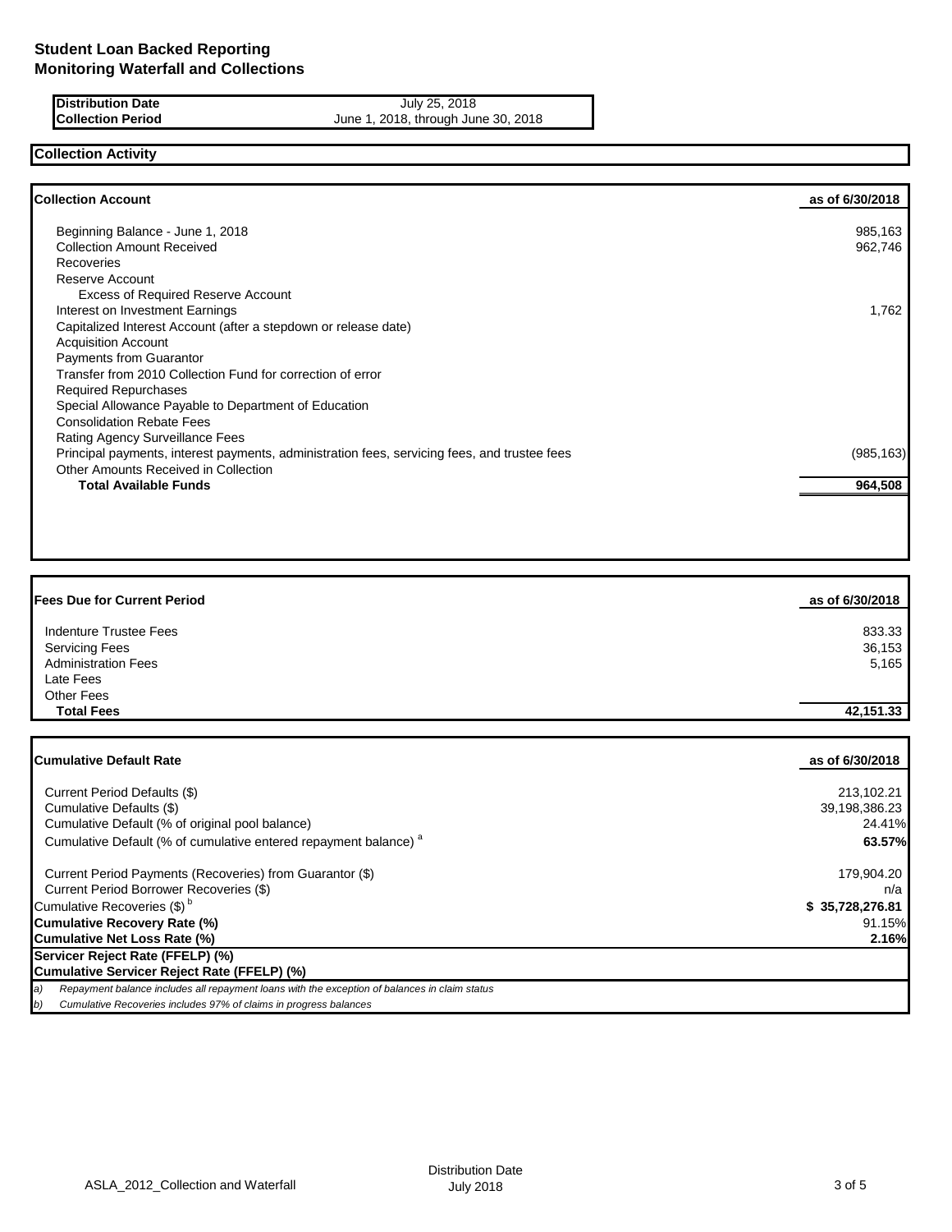**Distribution Date July 25, 2018 Collection Period** June 1, 2018, through June 30, 2018

# **Collection Activity**

| <b>Collection Account</b>                                                                    | as of 6/30/2018 |
|----------------------------------------------------------------------------------------------|-----------------|
| Beginning Balance - June 1, 2018                                                             | 985,163         |
| <b>Collection Amount Received</b>                                                            | 962,746         |
| Recoveries                                                                                   |                 |
| Reserve Account                                                                              |                 |
| <b>Excess of Required Reserve Account</b>                                                    |                 |
| Interest on Investment Earnings                                                              | 1,762           |
| Capitalized Interest Account (after a stepdown or release date)                              |                 |
| <b>Acquisition Account</b>                                                                   |                 |
| <b>Payments from Guarantor</b>                                                               |                 |
| Transfer from 2010 Collection Fund for correction of error                                   |                 |
| <b>Required Repurchases</b>                                                                  |                 |
| Special Allowance Payable to Department of Education                                         |                 |
| <b>Consolidation Rebate Fees</b>                                                             |                 |
| Rating Agency Surveillance Fees                                                              |                 |
| Principal payments, interest payments, administration fees, servicing fees, and trustee fees | (985, 163)      |
| Other Amounts Received in Collection                                                         |                 |
| <b>Total Available Funds</b>                                                                 | 964,508         |

| <b>Fees Due for Current Period</b> | as of 6/30/2018 |
|------------------------------------|-----------------|
| Indenture Trustee Fees             | 833.33          |
| <b>Servicing Fees</b>              | 36,153          |
| <b>Administration Fees</b>         | 5,165           |
| Late Fees                          |                 |
| <b>Other Fees</b>                  |                 |
| <b>Total Fees</b>                  | 42,151.33       |

| <b>ICumulative Default Rate</b>                                                                     | as of 6/30/2018 |
|-----------------------------------------------------------------------------------------------------|-----------------|
| Current Period Defaults (\$)                                                                        | 213,102.21      |
| Cumulative Defaults (\$)                                                                            | 39,198,386.23   |
| Cumulative Default (% of original pool balance)                                                     | 24.41%          |
| Cumulative Default (% of cumulative entered repayment balance) <sup>a</sup>                         | 63.57%          |
| Current Period Payments (Recoveries) from Guarantor (\$)                                            | 179,904.20      |
| Current Period Borrower Recoveries (\$)                                                             | n/a             |
| Cumulative Recoveries (\$) <sup>b</sup>                                                             | \$35,728,276.81 |
| Cumulative Recovery Rate (%)                                                                        | 91.15%          |
| Cumulative Net Loss Rate (%)                                                                        | 2.16%           |
| Servicer Reject Rate (FFELP) (%)                                                                    |                 |
| Cumulative Servicer Reject Rate (FFELP) (%)                                                         |                 |
| Repayment balance includes all repayment loans with the exception of balances in claim status<br>a) |                 |
| Cumulative Recoveries includes 97% of claims in progress balances<br>b)                             |                 |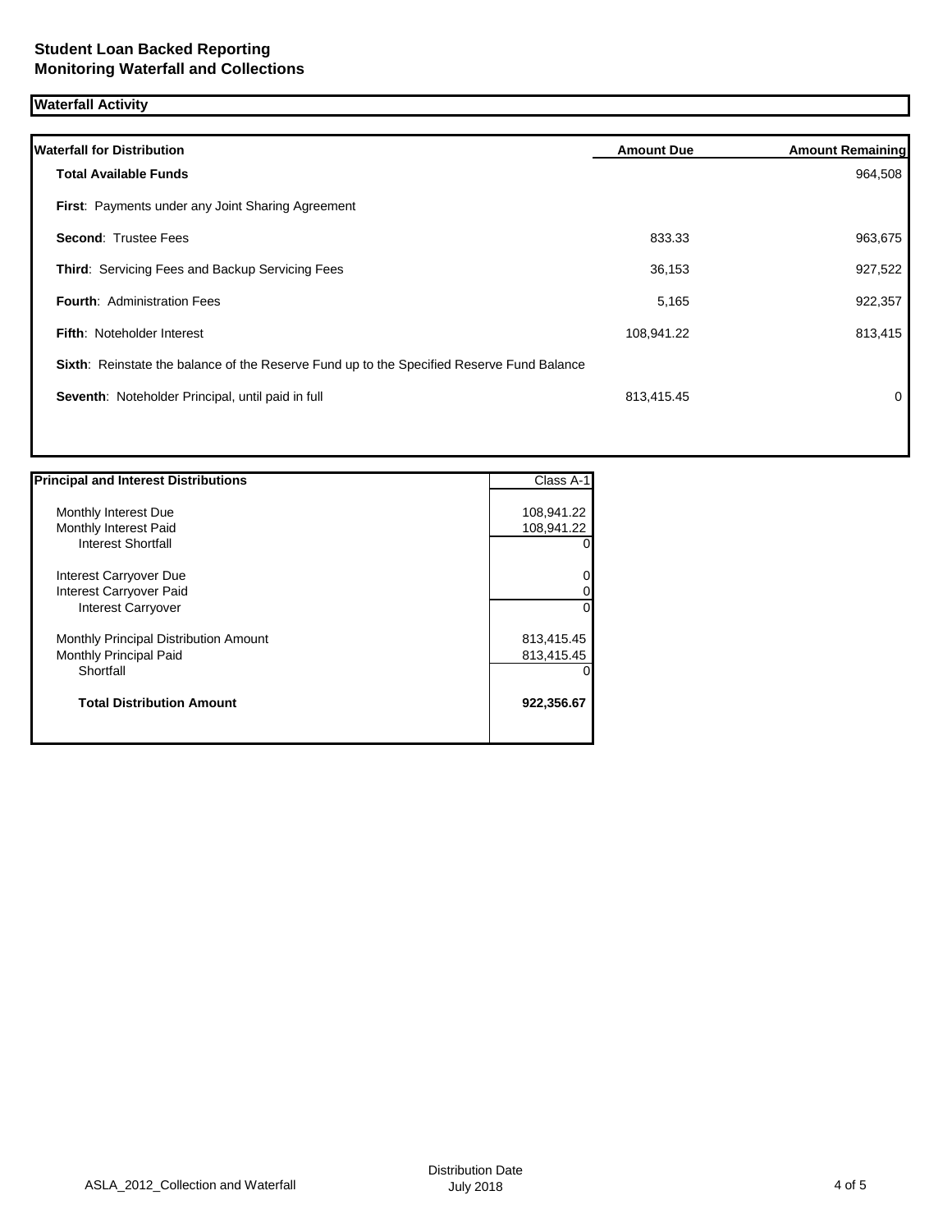### **Waterfall Activity**

| <b>Waterfall for Distribution</b>                                                         | <b>Amount Due</b> | <b>Amount Remaining</b> |
|-------------------------------------------------------------------------------------------|-------------------|-------------------------|
| <b>Total Available Funds</b>                                                              |                   | 964,508                 |
| First: Payments under any Joint Sharing Agreement                                         |                   |                         |
| <b>Second: Trustee Fees</b>                                                               | 833.33            | 963,675                 |
| Third: Servicing Fees and Backup Servicing Fees                                           | 36,153            | 927,522                 |
| <b>Fourth: Administration Fees</b>                                                        | 5,165             | 922,357                 |
| <b>Fifth: Noteholder Interest</b>                                                         | 108,941.22        | 813,415                 |
| Sixth: Reinstate the balance of the Reserve Fund up to the Specified Reserve Fund Balance |                   |                         |
| Seventh: Noteholder Principal, until paid in full                                         | 813,415.45        | 0                       |
|                                                                                           |                   |                         |
|                                                                                           |                   |                         |

| <b>Principal and Interest Distributions</b> | Class A-1      |
|---------------------------------------------|----------------|
|                                             |                |
| Monthly Interest Due                        | 108,941.22     |
| Monthly Interest Paid                       | 108,941.22     |
| <b>Interest Shortfall</b>                   | 01             |
| Interest Carryover Due                      | $\overline{0}$ |
| Interest Carryover Paid                     | 01             |
| <b>Interest Carryover</b>                   | $\overline{0}$ |
| Monthly Principal Distribution Amount       | 813,415.45     |
| Monthly Principal Paid                      | 813,415.45     |
| Shortfall                                   |                |
| <b>Total Distribution Amount</b>            | 922,356.67     |
|                                             |                |